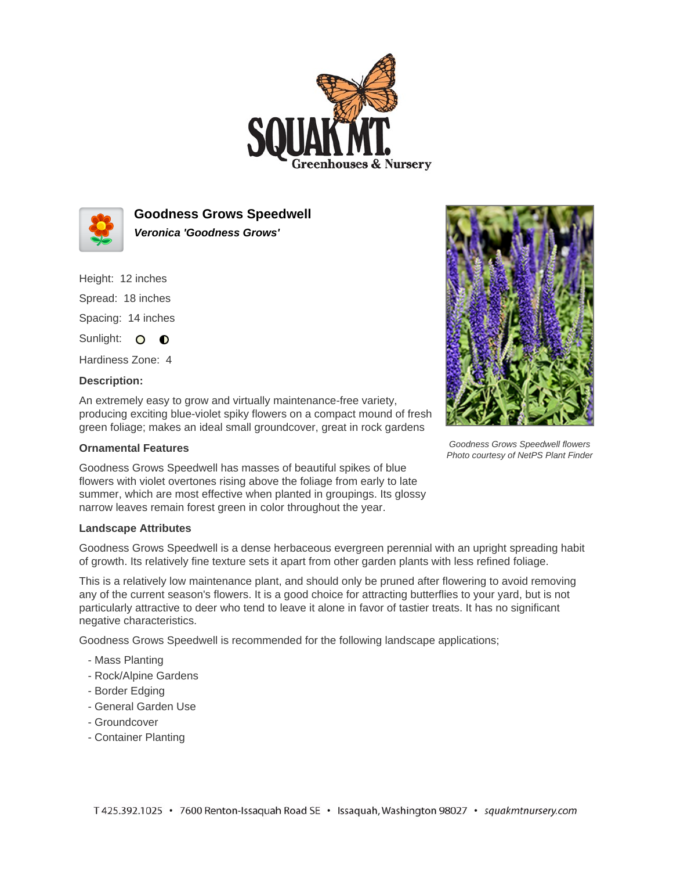



**Goodness Grows Speedwell Veronica 'Goodness Grows'**

Height: 12 inches

Spread: 18 inches Spacing: 14 inches

Sunlight: O **O** 

Hardiness Zone: 4

## **Description:**

An extremely easy to grow and virtually maintenance-free variety, producing exciting blue-violet spiky flowers on a compact mound of fresh green foliage; makes an ideal small groundcover, great in rock gardens

## **Ornamental Features**

Goodness Grows Speedwell has masses of beautiful spikes of blue flowers with violet overtones rising above the foliage from early to late summer, which are most effective when planted in groupings. Its glossy narrow leaves remain forest green in color throughout the year.

## **Landscape Attributes**

Goodness Grows Speedwell is a dense herbaceous evergreen perennial with an upright spreading habit of growth. Its relatively fine texture sets it apart from other garden plants with less refined foliage.

This is a relatively low maintenance plant, and should only be pruned after flowering to avoid removing any of the current season's flowers. It is a good choice for attracting butterflies to your yard, but is not particularly attractive to deer who tend to leave it alone in favor of tastier treats. It has no significant negative characteristics.

Goodness Grows Speedwell is recommended for the following landscape applications;

- Mass Planting
- Rock/Alpine Gardens
- Border Edging
- General Garden Use
- Groundcover
- Container Planting



Goodness Grows Speedwell flowers Photo courtesy of NetPS Plant Finder